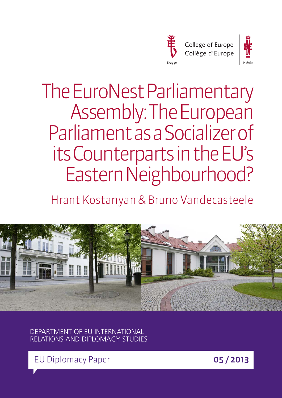



The EuroNest Parliamentary Assembly: The European Parliament as a Socializer of its Counterparts in the EU's Eastern Neighbourhood?

Hrant Kostanyan & Bruno Vandecasteele



DEPARTMENT OF EU INTERNATIONAL RELATIONS AND DIPLOMACY STUDIES

EU Diplomacy Paper **05 / 2013**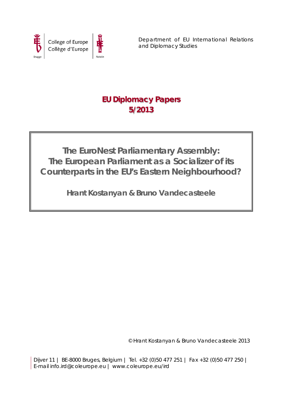



Department of EU International Relations and Diplomacy Studies

# **EU Diplomacy Papers 5/2013**

**The EuroNest Parliamentary Assembly: The European Parliament as a Socializer of its Counterparts in the EU's Eastern Neighbourhood?**

**Hrant Kostanyan & Bruno Vandecasteele**

© Hrant Kostanyan & Bruno Vandecasteele 2013

Dijver 11 | BE-8000 Bruges, Belgium | Tel. +32 (0)50 477 251 | Fax +32 (0)50 477 250 | E-mail info.ird@coleurope.eu | www.coleurope.eu/ird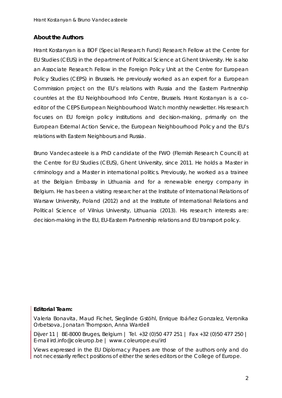## **About the Authors**

Hrant Kostanyan is a BOF (Special Research Fund) Research Fellow at the Centre for EU Studies (CEUS) in the department of Political Science at Ghent University. He is also an Associate Research Fellow in the Foreign Policy Unit at the Centre for European Policy Studies (CEPS) in Brussels. He previously worked as an expert for a European Commission project on the EU's relations with Russia and the Eastern Partnership countries at the EU Neighbourhood Info Centre, Brussels. Hrant Kostanyan is a coeditor of the *CEPS European Neighbourhood Watch* monthly newsletter. His research focuses on EU foreign policy institutions and decision-making, primarily on the European External Action Service, the European Neighbourhood Policy and the EU's relations with Eastern Neighbours and Russia.

Bruno Vandecasteele is a PhD candidate of the FWO (Flemish Research Council) at the Centre for EU Studies (CEUS), Ghent University, since 2011. He holds a Master in criminology and a Master in international politics. Previously, he worked as a trainee at the Belgian Embassy in Lithuania and for a renewable energy company in Belgium. He has been a visiting researcher at the Institute of International Relations of Warsaw University, Poland (2012) and at the Institute of International Relations and Political Science of Vilnius University, Lithuania (2013). His research interests are: decision-making in the EU, EU-Eastern Partnership relations and EU transport policy.

## **Editorial Team:**

Valeria Bonavita, Maud Fichet, Sieglinde Gstöhl, Enrique Ibáñez Gonzalez, Veronika Orbetsova, Jonatan Thompson, Anna Wardell

Dijver 11 | BE-8000 Bruges, Belgium | Tel. +32 (0)50 477 251 | Fax +32 (0)50 477 250 | E-mail ird.info@coleurop.be | www.coleurope.eu/ird

Views expressed in the *EU Diplomacy Papers* are those of the authors only and do not necessarily reflect positions of either the series editors or the College of Europe.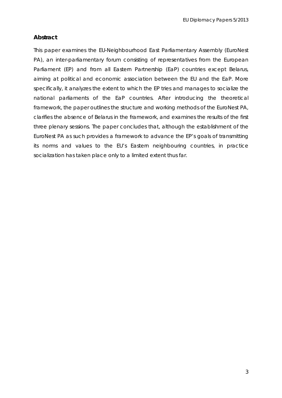# **Abstract**

This paper examines the EU-Neighbourhood East Parliamentary Assembly (EuroNest PA), an inter-parliamentary forum consisting of representatives from the European Parliament (EP) and from all Eastern Partnership (EaP) countries except Belarus, aiming at political and economic association between the EU and the EaP. More specifically, it analyzes the extent to which the EP tries and manages to socialize the national parliaments of the EaP countries. After introducing the theoretical framework, the paper outlines the structure and working methods of the EuroNest PA, clarifies the absence of Belarus in the framework, and examines the results of the first three plenary sessions. The paper concludes that, although the establishment of the EuroNest PA as such provides a framework to advance the EP's goals of transmitting its norms and values to the EU's Eastern neighbouring countries, in practice socialization has taken place only to a limited extent thus far.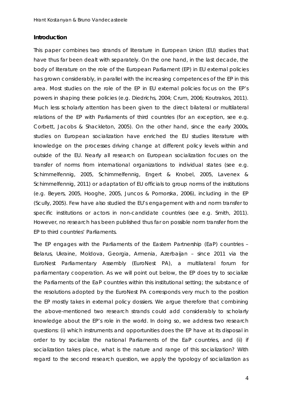#### **Introduction**

This paper combines two strands of literature in European Union (EU) studies that have thus far been dealt with separately. On the one hand, in the last decade, the body of literature on the role of the European Parliament (EP) in EU external policies has grown considerably, in parallel with the increasing competences of the EP in this area. Most studies on the role of the EP in EU external policies focus on the EP's powers in shaping these policies (e.g. [Diedrichs, 2004;](#page-20-0) [Crum, 2006;](#page-20-1) [Koutrakos, 2011\)](#page-21-0). Much less scholarly attention has been given to the direct bilateral or multilateral relations of the EP with Parliaments of third countries [\(for an exception, see e.g.](#page-20-2)  [Corbett, Jacobs & Shackleton, 2005\)](#page-20-2). On the other hand, since the early 2000s, studies on European socialization have enriched the EU studies literature with knowledge on the processes driving change at different policy levels within and outside of the EU. Nearly all research on European socialization focuses on the transfer of norms from international organizations to individual states (see e.g. [Schimmelfennig, 2005,](#page-22-0) [Schimmelfennig, Engert & Knobel, 2005,](#page-22-1) [Lavenex &](#page-21-1)  [Schimmelfennig, 2011\)](#page-21-1) or adaptation of EU officials to group norms of the institutions (e.g. [Beyers, 2005,](#page-20-3) [Hooghe, 2005,](#page-21-2) [Juncos & Pomorska, 2006\)](#page-21-3), including in the EP [\(Scully, 2005\)](#page-22-2). Few have also studied the EU's engagement with and norm transfer to specific institutions or actors in non-candidate countries [\(see e.g. Smith, 2011\)](#page-22-3). However, no research has been published thus far on possible norm transfer from the EP to third countries' Parliaments.

The EP engages with the Parliaments of the Eastern Partnership (EaP) countries – Belarus, Ukraine, Moldova, Georgia, Armenia, Azerbaijan – since 2011 via the EuroNest Parliamentary Assembly (EuroNest PA), a multilateral forum for parliamentary cooperation. As we will point out below, the EP does try to socialize the Parliaments of the EaP countries within this institutional setting; the substance of the resolutions adopted by the EuroNest PA corresponds very much to the position the EP mostly takes in external policy dossiers. We argue therefore that combining the above-mentioned two research strands could add considerably to scholarly knowledge about the EP's role in the world. In doing so, we address two research questions: (i) which instruments and opportunities does the EP have at its disposal in order to try socialize the national Parliaments of the EaP countries, and (ii) if socialization takes place, what is the nature and range of this socialization? With regard to the second research question, we apply the typology of socialization as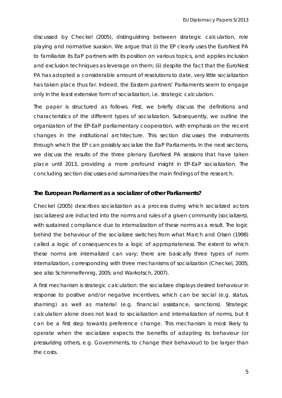discussed by Checkel [\(2005\)](#page-20-4), distinguishing between strategic calculation, role playing and normative suasion. We argue that (i) the EP clearly uses the EuroNest PA to familiarize its EaP partners with its position on various topics, and applies inclusion and exclusion techniques as leverage on them; (ii) despite the fact that the EuroNest PA has adopted a considerable amount of resolutions to date, very little socialization has taken place thus far. Indeed, the Eastern partners' Parliaments seem to engage only in the least extensive form of socialization, i.e. strategic calculation.

The paper is structured as follows. First, we briefly discuss the definitions and characteristics of the different types of socialization. Subsequently, we outline the organization of the EP-EaP parliamentary cooperation, with emphasis on the recent changes in the institutional architecture. This section discusses the instruments through which the EP can possibly socialize the EaP Parliaments. In the next sections, we discuss the results of the three plenary EuroNest PA sessions that have taken place until 2013, providing a more profound insight in EP-EaP socialization. The concluding section discusses and summarizes the main findings of the research.

#### **The European Parliament as a socializer of other Parliaments?**

Checkel [\(2005\)](#page-20-4) describes socialization as a process during which socialized actors (socializees) are inducted into the norms and rules of a given community (socializers), with sustained compliance due to internalization of these norms as a result. The logic behind the behaviour of the socializee switches from what March and Olsen [\(1998\)](#page-21-4) called a *logic of consequences* to a *logic of appropriateness*. The extent to which these norms are internalized can vary; there are basically three types of norm internalization, corresponding with three mechanisms of socialization [\(Checkel, 2005;](#page-20-4) [see also Schimmelfennig, 2005;](#page-22-0) and [Warkotsch, 2007\)](#page-22-4).

A first mechanism is *strategic calculation*: the socializee displays desired behaviour in response to positive and/or negative incentives, which can be social (e.g. status, shaming) as well as material (e.g. financial assistance, sanctions). Strategic calculation alone does not lead to socialization and internalization of norms, but it can be a first step towards preference change. This mechanism is most likely to operate when the socializee expects the benefits of adapting its behaviour (or pressurizing others, e.g. Governments, to change their behaviour) to be larger than the costs.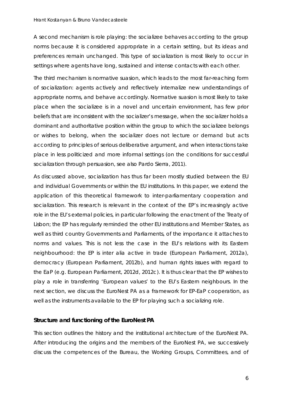A second mechanism is *role playing*: the socializee behaves according to the group norms because it is considered appropriate in a certain setting, but its ideas and preferences remain unchanged. This type of socialization is most likely to occur in settings where agents have long, sustained and intense contacts with each other.

The third mechanism is *normative suasion*, which leads to the most far-reaching form of socialization: agents actively and reflectively internalize new understandings of appropriate norms, and behave accordingly. Normative suasion is most likely to take place when the socializee is in a novel and uncertain environment, has few prior beliefs that are inconsistent with the socializer's message, when the socializer holds a dominant and authoritative position within the group to which the socializee belongs or wishes to belong, when the socializer does not lecture or demand but acts according to principles of serious deliberative argument, and when interactions take place in less politicized and more informal settings [\(on the conditions for successful](#page-22-5)  [socialization through persuasion, see also Pardo Sierra, 2011\)](#page-22-5).

As discussed above, socialization has thus far been mostly studied between the EU and individual Governments or within the EU institutions. In this paper, we extend the application of this theoretical framework to inter-parliamentary cooperation and socialization. This research is relevant in the context of the EP's increasingly active role in the EU's external policies, in particular following the enactment of the Treaty of Lisbon; the EP has regularly reminded the other EU institutions and Member States, as well as third country Governments and Parliaments, of the importance it attaches to norms and values. This is not less the case in the EU's relations with its Eastern neighbourhood: the EP is *inter alia* active in trade [\(European Parliament, 2012a\)](#page-21-5), democracy [\(European Parliament, 2012b\)](#page-21-6), and human rights issues with regard to the EaP (e.g. [European Parliament, 2012d,](#page-21-7) [2012c\)](#page-21-8). It is thus clear that the EP wishes to play a role in transferring 'European values' to the EU's Eastern neighbours. In the next section, we discuss the EuroNest PA as a framework for EP-EaP cooperation, as well as the instruments available to the EP for playing such a socializing role.

#### **Structure and functioning of the EuroNest PA**

This section outlines the history and the institutional architecture of the EuroNest PA. After introducing the origins and the members of the EuroNest PA, we successively discuss the competences of the Bureau, the Working Groups, Committees, and of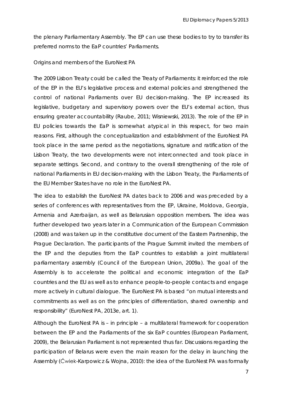the plenary Parliamentary Assembly. The EP can use these bodies to try to transfer its preferred norms to the EaP countries' Parliaments.

#### *Origins and members of the EuroNest PA*

The 2009 Lisbon Treaty could be called the *Treaty of Parliaments*: it reinforced the role of the EP in the EU's legislative process and external policies and strengthened the control of national Parliaments over EU decision-making. The EP increased its legislative, budgetary and supervisory powers over the EU's external action, thus ensuring greater accountability [\(Raube, 2011;](#page-22-6) [Wisniewski, 2013\)](#page-22-7). The role of the EP in EU policies towards the EaP is somewhat atypical in this respect, for two main reasons. First, although the conceptualization and establishment of the EuroNest PA took place in the same period as the negotiations, signature and ratification of the Lisbon Treaty, the two developments were not interconnected and took place in separate settings. Second, and contrary to the overall strengthening of the role of national Parliaments in EU decision-making with the Lisbon Treaty, the Parliaments of the EU Member States have no role in the EuroNest PA.

The idea to establish the EuroNest PA dates back to 2006 and was preceded by a series of conferences with representatives from the EP, Ukraine, Moldova, Georgia, Armenia and Azerbaijan, as well as Belarusian opposition members. The idea was further developed two years later in a Communication of the European Commission [\(2008\)](#page-21-9) and was taken up in the constitutive document of the Eastern Partnership, the Prague Declaration. The participants of the Prague Summit invited the members of the EP and the deputies from the EaP countries to establish a joint multilateral parliamentary assembly [\(Council of the European Union, 2009a\)](#page-20-5). The goal of the Assembly is to accelerate the political and economic integration of the EaP countries and the EU as well as to enhance people-to-people contacts and engage more actively in cultural dialogue. The EuroNest PA is based "on mutual interests and commitments as well as on the principles of differentiation, shared ownership and responsibility" [\(EuroNest PA, 2013e, art. 1\)](#page-21-10).

Although the EuroNest PA is – in principle – a multilateral framework for cooperation between the EP and the Parliaments of the six EaP countries [\(European Parliament,](#page-21-11)  [2009\)](#page-21-11), the Belarusian Parliament is not represented thus far. Discussions regarding the participation of Belarus were even the main reason for the delay in launching the Assembly (Ćwiek[-Karpowicz & Wojna, 2010\)](#page-20-6): the idea of the EuroNest PA was formally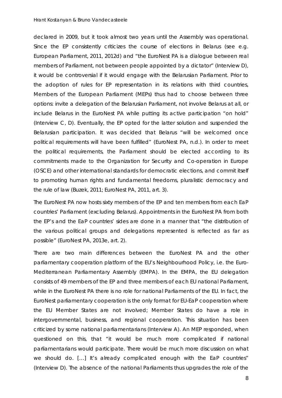#### *Hrant Kostanyan & Bruno Vandecasteele*

declared in 2009, but it took almost two years until the Assembly was operational. Since the EP consistently criticizes the course of elections in Belarus (see e.g. [European Parliament, 2011,](#page-21-12) [2012d\)](#page-21-7) and "the EuroNest PA is a dialogue between real members of Parliament, not between people appointed by a dictator" (Interview D), it would be controversial if it would engage with the Belarusian Parliament. Prior to the adoption of rules for EP representation in its relations with third countries, Members of the European Parliament (MEPs) thus had to choose between three options: invite a delegation of the Belarusian Parliament, not involve Belarus at all, or include Belarus in the EuroNest PA while putting its active participation "on hold" (Interview C, D). Eventually, the EP opted for the latter solution and suspended the Belarusian participation. It was decided that Belarus "will be welcomed once political requirements will have been fulfilled" [\(EuroNest PA, n.d.\)](#page-21-13). In order to meet the political requirements, the Parliament should be elected according to its commitments made to the Organization for Security and Co-operation in Europe (OSCE) and other international standards for democratic elections, and commit itself to promoting human rights and fundamental freedoms, pluralistic democracy and the rule of law [\(Buzek, 2011;](#page-20-7) [EuroNest PA, 2011, art. 3\)](#page-20-8).

The EuroNest PA now hosts sixty members of the EP and ten members from each EaP countries' Parliament (excluding Belarus). Appointments in the EuroNest PA from both the EP's and the EaP countries' sides are done in a manner that "the distribution of the various political groups and delegations represented is reflected as far as possible" [\(EuroNest PA, 2013e, art. 2\)](#page-21-10).

There are two main differences between the EuroNest PA and the other parliamentary cooperation platform of the EU's Neighbourhood Policy, i.e. the Euro-Mediterranean Parliamentary Assembly (EMPA). In the EMPA, the EU delegation consists of 49 members of the EP and three members of each EU national Parliament, while in the EuroNest PA there is no role for national Parliaments of the EU. In fact, the EuroNest parliamentary cooperation is the only format for EU-EaP cooperation where the EU Member States are not involved; Member States do have a role in intergovernmental, business, and regional cooperation. This situation has been criticized by some national parliamentarians (Interview A). An MEP responded, when questioned on this, that "it would be much more complicated if national parliamentarians would participate. There would be much more discussion on what we should do. […] It's already complicated enough with the EaP countries" (Interview D). The absence of the national Parliaments thus upgrades the role of the

8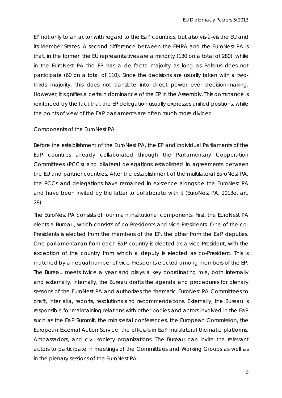EP not only to an actor with regard to the EaP countries, but also vis-à-vis the EU and its Member States. A second difference between the EMPA and the EuroNest PA is that, in the former, the EU representatives are a minority (130 on a total of 280), while in the EuroNest PA the EP has a *de facto* majority as long as Belarus does not participate (60 on a total of 110). Since the decisions are usually taken with a twothirds majority, this does not translate into direct power over decision-making. However, it signifies a certain dominance of the EP in the Assembly. This dominance is reinforced by the fact that the EP delegation usually expresses unified positions, while the points of view of the EaP parliaments are often much more divided.

#### *Components of the EuroNest PA*

Before the establishment of the EuroNest PA, the EP and individual Parliaments of the EaP countries already collaborated through the Parliamentary Cooperation Committees (PCCs) and bilateral delegations established in agreements between the EU and partner countries. After the establishment of the multilateral EuroNest PA, the PCCs and delegations have remained in existence alongside the EuroNest PA and have been invited by the latter to collaborate with it [\(EuroNest PA, 2013e, art.](#page-21-10)  [28\)](#page-21-10).

The EuroNest PA consists of four main institutional components. First, the EuroNest PA elects a Bureau, which consists of co-Presidents and vice-Presidents. One of the co-Presidents is elected from the members of the EP, the other from the EaP deputies. One parliamentarian from each EaP country is elected as a vice-President, with the exception of the country from which a deputy is elected as co-President. This is matched by an equal number of vice-Presidents elected among members of the EP. The Bureau meets twice a year and plays a key coordinating role, both internally and externally. Internally, the Bureau drafts the agenda and procedures for plenary sessions of the EuroNest PA and authorizes the thematic EuroNest PA Committees to draft, *inter alia,* reports, resolutions and recommendations. Externally, the Bureau is responsible for maintaining relations with other bodies and actors involved in the EaP such as the EaP Summit, the ministerial conferences, the European Commission, the European External Action Service, the officials in EaP multilateral thematic platforms, Ambassadors, and civil society organizations. The Bureau can invite the relevant actors to participate in meetings of the Committees and Working Groups as well as in the plenary sessions of the EuroNest PA.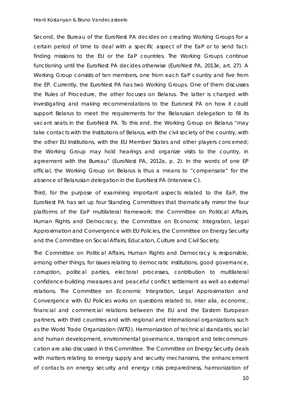#### *Hrant Kostanyan & Bruno Vandecasteele*

Second, the Bureau of the EuroNest PA decides on creating Working Groups for a certain period of time to deal with a specific aspect of the EaP or to send factfinding missions to the EU or the EaP countries. The Working Groups continue functioning until the EuroNest PA decides otherwise [\(EuroNest PA, 2013e, art. 27\)](#page-21-10). A Working Group consists of ten members, one from each EaP country and five from the EP. Currently, the EuroNest PA has two Working Groups. One of them discusses the Rules of Procedure, the other focuses on Belarus. The latter is charged with investigating and making recommendations to the Euronest PA on how it could support Belarus to meet the requirements for the Belarusian delegation to fill its vacant seats in the EuroNest PA. To this end, the Working Group on Belarus "may take contacts with the Institutions of Belarus, with the civil society of the country, with the other EU Institutions, with the EU Member States and other players concerned; the Working Group may hold hearings and organize visits to the country, in agreement with the Bureau" [\(EuroNest PA, 2012a, p. 2\)](#page-20-9). In the words of one EP official, the Working Group on Belarus is thus a means to "compensate" for the absence of Belarusian delegation in the EuroNest PA (Interview C).

Third, for the purpose of examining important aspects related to the EaP, the EuroNest PA has set up four Standing Committees that thematically mirror the four platforms of the EaP multilateral framework: the Committee on Political Affairs, Human Rights and Democracy, the Committee on Economic Integration, Legal Approximation and Convergence with EU Policies, the Committee on Energy Security and the Committee on Social Affairs, Education, Culture and Civil Society.

The Committee on Political Affairs, Human Rights and Democracy is responsible, among other things, for issues relating to democratic institutions, good governance, corruption, political parties, electoral processes, contribution to multilateral confidence-building measures and peaceful conflict settlement as well as external relations. The Committee on Economic Integration, Legal Approximation and Convergence with EU Policies works on questions related to, *inter alia*, economic, financial and commercial relations between the EU and the Eastern European partners, with third countries and with regional and international organizations such as the World Trade Organization (WTO). Harmonization of technical standards, social and human development, environmental governance, transport and telecommunication are also discussed in this Committee. The Committee on Energy Security deals with matters relating to energy supply and security mechanisms, the enhancement of contacts on energy security and energy crisis preparedness, harmonization of

10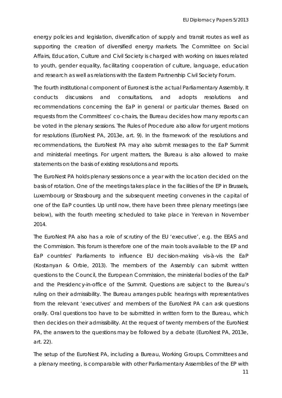energy policies and legislation, diversification of supply and transit routes as well as supporting the creation of diversified energy markets. The Committee on Social Affairs, Education, Culture and Civil Society is charged with working on issues related to youth, gender equality, facilitating cooperation of culture, language, education and research as well as relations with the Eastern Partnership Civil Society Forum.

The fourth institutional component of Euronest is the actual Parliamentary Assembly. It conducts discussions and consultations, and adopts resolutions and recommendations concerning the EaP in general or particular themes. Based on requests from the Committees' co-chairs, the Bureau decides how many reports can be voted in the plenary sessions. The Rules of Procedure also allow for urgent motions for resolutions [\(EuroNest PA, 2013e, art. 9\)](#page-21-10). In the framework of the resolutions and recommendations, the EuroNest PA may also submit messages to the EaP Summit and ministerial meetings. For urgent matters, the Bureau is also allowed to make statements on the basis of existing resolutions and reports.

The EuroNest PA holds plenary sessions once a year with the location decided on the basis of rotation. One of the meetings takes place in the facilities of the EP in Brussels, Luxembourg or Strasbourg and the subsequent meeting convenes in the capital of one of the EaP counties. Up until now, there have been three plenary meetings (see below), with the fourth meeting scheduled to take place in Yerevan in November 2014.

The EuroNest PA also has a role of scrutiny of the EU 'executive', e.g. the EEAS and the Commission. This forum is therefore one of the main tools available to the EP and EaP countries' Parliaments to influence EU decision-making *vis-à-vis* the EaP [\(Kostanyan & Orbie, 2013\)](#page-21-14). The members of the Assembly can submit written questions to the Council, the European Commission, the ministerial bodies of the EaP and the Presidency-in-office of the Summit. Questions are subject to the Bureau's ruling on their admissibility. The Bureau arranges public hearings with representatives from the relevant 'executives' and members of the EuroNest PA can ask questions orally. Oral questions too have to be submitted in written form to the Bureau, which then decides on their admissibility. At the request of twenty members of the EuroNest PA, the answers to the questions may be followed by a debate [\(EuroNest PA, 2013e,](#page-21-10)  [art. 22\)](#page-21-10).

The setup of the EuroNest PA, including a Bureau, Working Groups, Committees and a plenary meeting, is comparable with other Parliamentary Assemblies of the EP with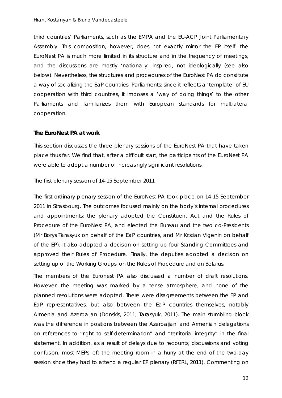third countries' Parliaments, such as the EMPA and the EU-ACP Joint Parliamentary Assembly. This composition, however, does not exactly mirror the EP itself: the EuroNest PA is much more limited in its structure and in the frequency of meetings, and the discussions are mostly 'nationally' inspired, not ideologically (see also below). Nevertheless, the structures and procedures of the EuroNest PA do constitute a way of socializing the EaP countries' Parliaments: since it reflects a 'template' of EU cooperation with third countries, it imposes a 'way of doing things' to the other Parliaments and familiarizes them with European standards for multilateral cooperation.

#### **The EuroNest PA at work**

This section discusses the three plenary sessions of the EuroNest PA that have taken place thus far. We find that, after a difficult start, the participants of the EuroNest PA were able to adopt a number of increasingly significant resolutions.

#### *The first plenary session of 14-15 September 2011*

The first ordinary plenary session of the EuroNest PA took place on 14-15 September 2011 in Strasbourg. The outcomes focused mainly on the body's internal procedures and appointments: the plenary adopted the Constituent Act and the Rules of Procedure of the EuroNest PA, and elected the Bureau and the two co-Presidents (Mr Borys Tarasyuk on behalf of the EaP countries, and Mr Kristian Vigenin on behalf of the EP). It also adopted a decision on setting up four Standing Committees and approved their Rules of Procedure. Finally, the deputies adopted a decision on setting up of the Working Groups, on the Rules of Procedure and on Belarus.

The members of the Euronest PA also discussed a number of draft resolutions. However, the meeting was marked by a tense atmosphere, and none of the planned resolutions were adopted. There were disagreements between the EP and EaP representatives, but also between the EaP countries themselves, notably Armenia and Azerbaijan [\(Donskis, 2011;](#page-20-10) [Tarasyuk, 2011\)](#page-22-8). The main stumbling block was the difference in positions between the Azerbaijani and Armenian delegations on references to "right to self-determination" and "territorial integrity" in the final statement. In addition, as a result of delays due to recounts, discussions and voting confusion, most MEPs left the meeting room in a hurry at the end of the two-day session since they had to attend a regular EP plenary [\(RFERL, 2011\)](#page-22-9). Commenting on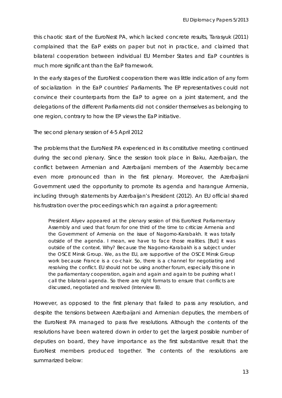this chaotic start of the EuroNest PA, which lacked concrete results, Tarasyuk [\(2011\)](#page-22-8) complained that the EaP exists on paper but not in practice, and claimed that bilateral cooperation between individual EU Member States and EaP countries is much more significant than the EaP framework.

In the early stages of the EuroNest cooperation there was little indication of any form of socialization in the EaP countries' Parliaments. The EP representatives could not convince their counterparts from the EaP to agree on a joint statement, and the delegations of the different Parliaments did not consider themselves as belonging to one region, contrary to how the EP views the EaP initiative.

#### *The second plenary session of 4-5 April 2012*

The problems that the EuroNest PA experienced in its constitutive meeting continued during the second plenary. Since the session took place in Baku, Azerbaijan, the conflict between Armenian and Azerbaijani members of the Assembly became even more pronounced than in the first plenary. Moreover, the Azerbaijani Government used the opportunity to promote its agenda and harangue Armenia, including through statements by Azerbaijan's President [\(2012\)](#page-22-10). An EU official shared his frustration over the proceedings which ran against a prior agreement**:**

President Aliyev appeared at the plenary session of this EuroNest Parliamentary Assembly and used that forum for one third of the time to criticize Armenia and the Government of Armenia on the issue of Nagorno-Karabakh. It was totally outside of the agenda. I mean, we have to face those realities. [But] it was outside of the context. Why? Because the Nagorno-Karabakh is a subject under the OSCE Minsk Group. We, as the EU, are supportive of the OSCE Minsk Group work because France is a co-chair. So, there is a channel for negotiating and resolving the conflict. EU should not be using another forum, especially this one in the parliamentary cooperation, again and again and again to be pushing what I call the bilateral agenda. So there are right formats to ensure that conflicts are discussed, negotiated and resolved (Interview B).

However, as opposed to the first plenary that failed to pass any resolution, and despite the tensions between Azerbaijani and Armenian deputies, the members of the EuroNest PA managed to pass five resolutions. Although the contents of the resolutions have been watered down in order to get the largest possible number of deputies on board, they have importance as the first substantive result that the EuroNest members produced together. The contents of the resolutions are summarized below: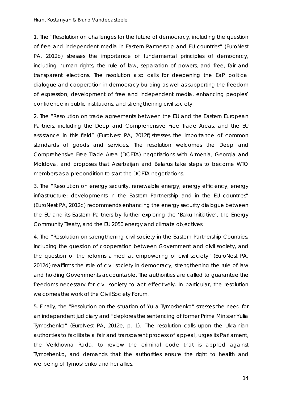1. The "Resolution on challenges for the future of democracy, including the question of free and independent media in Eastern Partnership and EU countries" [\(EuroNest](#page-20-11)  [PA, 2012b\)](#page-20-11) stresses the importance of fundamental principles of democracy, including human rights, the rule of law, separation of powers, and free, fair and transparent elections. The resolution also calls for deepening the EaP political dialogue and cooperation in democracy building as well as supporting the freedom of expression, development of free and independent media, enhancing peoples' confidence in public institutions, and strengthening civil society.

2. The "Resolution on trade agreements between the EU and the Eastern European Partners, including the Deep and Comprehensive Free Trade Areas, and the EU assistance in this field" [\(EuroNest PA, 2012f\)](#page-20-12) stresses the importance of common standards of goods and services. The resolution welcomes the Deep and Comprehensive Free Trade Area (DCFTA) negotiations with Armenia, Georgia and Moldova, and proposes that Azerbaijan and Belarus take steps to become WTO members as a precondition to start the DCFTA negotiations.

3. The "Resolution on energy security, renewable energy, energy efficiency, energy infrastructure: developments in the Eastern Partnership and in the EU countries" [\(EuroNest PA, 2012c\)](#page-20-13) recommends enhancing the energy security dialogue between the EU and its Eastern Partners by further exploring the 'Baku Initiative', the Energy Community Treaty, and the EU 2050 energy and climate objectives.

4. The "Resolution on strengthening civil society in the Eastern Partnership Countries, including the question of cooperation between Government and civil society, and the question of the reforms aimed at empowering of civil society" [\(EuroNest PA,](#page-20-14)  [2012d\)](#page-20-14) reaffirms the role of civil society in democracy, strengthening the rule of law and holding Governments accountable. The authorities are called to guarantee the freedoms necessary for civil society to act effectively. In particular, the resolution welcomes the work of the Civil Society Forum.

5. Finally, the "Resolution on the situation of Yulia Tymoshenko" stresses the need for an independent judiciary and "deplores the sentencing of former Prime Minister Yulia Tymoshenko" [\(EuroNest PA, 2012e, p. 1\)](#page-20-15). The resolution calls upon the Ukrainian authorities to facilitate a fair and transparent process of appeal, urges its Parliament, the Verkhovna Rada, to review the criminal code that is applied against Tymoshenko, and demands that the authorities ensure the right to health and wellbeing of Tymoshenko and her allies.

14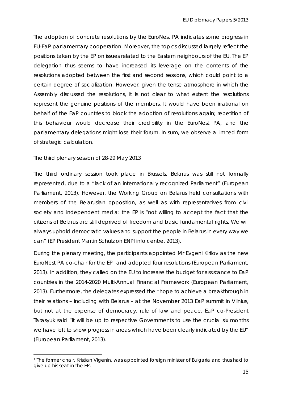The adoption of concrete resolutions by the EuroNest PA indicates some progress in EU-EaP parliamentary cooperation. Moreover, the topics discussed largely reflect the positions taken by the EP on issues related to the Eastern neighbours of the EU. The EP delegation thus seems to have increased its leverage on the contents of the resolutions adopted between the first and second sessions, which could point to a certain degree of socialization. However, given the tense atmosphere in which the Assembly discussed the resolutions, it is not clear to what extent the resolutions represent the genuine positions of the members. It would have been irrational on behalf of the EaP countries to block the adoption of resolutions again; repetition of this behaviour would decrease their credibility in the EuroNest PA, and the parliamentary delegations might lose their forum. In sum, we observe a limited form of strategic calculation.

#### *The third plenary session of 28-29 May 2013*

The third ordinary session took place in Brussels. Belarus was still not formally represented, due to a "lack of an internationally recognized Parliament" [\(European](#page-21-15)  [Parliament, 2013\)](#page-21-15). However, the Working Group on Belarus held consultations with members of the Belarusian opposition, as well as with representatives from civil society and independent media: the EP is "not willing to accept the fact that the citizens of Belarus are still deprived of freedom and basic fundamental rights. We will always uphold democratic values and support the people in Belarus in every way we can" [\(EP President Martin Schulz on ENPI info centre, 2013\)](#page-20-16).

During the plenary meeting, the participants appointed Mr Evgeni Kirilov as the new EuroNest PA co-chair for the EP[1](#page-15-0) and adopted four resolutions [\(European Parliament,](#page-21-15)  [2013\)](#page-21-15). In addition, they called on the EU to increase the budget for assistance to EaP countries in the 2014-2020 Multi-Annual Financial Framework [\(European Parliament,](#page-21-15)  [2013\)](#page-21-15). Furthermore, the delegates expressed their hope to achieve a breakthrough in their relations – including with Belarus – at the November 2013 EaP summit in Vilnius, but not at the expense of democracy, rule of law and peace. EaP co-President Tarasyuk said "it will be up to respective Governments to use the crucial six months we have left to show progress in areas which have been clearly indicated by the EU" [\(European Parliament, 2013\)](#page-21-15).

<span id="page-15-0"></span><sup>&</sup>lt;sup>1</sup> The former chair, Kristian Vigenin, was appointed foreign minister of Bulgaria and thus had to give up his seat in the EP.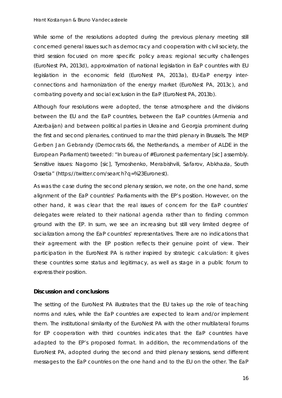#### *Hrant Kostanyan & Bruno Vandecasteele*

While some of the resolutions adopted during the previous plenary meeting still concerned general issues such as democracy and cooperation with civil society, the third session focused on more specific policy areas: regional security challenges [\(EuroNest PA, 2013d\)](#page-21-16), approximation of national legislation in EaP countries with EU legislation in the economic field [\(EuroNest PA, 2013a\)](#page-20-17), EU-EaP energy interconnections and harmonization of the energy market [\(EuroNest PA, 2013c\)](#page-21-17), and combating poverty and social exclusion in the EaP [\(EuroNest PA, 2013b\)](#page-20-18).

Although four resolutions were adopted, the tense atmosphere and the divisions between the EU and the EaP countries, between the EaP countries (Armenia and Azerbaijan) and between political parties in Ukraine and Georgia prominent during the first and second plenaries, continued to mar the third plenary in Brussels. The MEP Gerben Jan Gebrandy (Democrats 66, the Netherlands, a member of ALDE in the European Parliament) tweeted: "In bureau of #Euronest parlementary [sic] assembly. Sensitive issues: Nagorno [*sic*], Tymoshenko, Merabishvili, Safarov, Abkhazia, South Ossetia" (https://twitter.com/search?q=%23Euronest).

As was the case during the second plenary session, we note, on the one hand, some alignment of the EaP countries' Parliaments with the EP's position. However, on the other hand, it was clear that the real issues of concern for the EaP countries' delegates were related to their national agenda rather than to finding common ground with the EP. In sum, we see an increasing but still very limited degree of socialization among the EaP countries' representatives. There are no indications that their agreement with the EP position reflects their genuine point of view. Their participation in the EuroNest PA is rather inspired by strategic calculation: it gives these countries some status and legitimacy, as well as stage in a public forum to express their position.

#### **Discussion and conclusions**

The setting of the EuroNest PA illustrates that the EU takes up the role of *teaching* norms and rules, while the EaP countries are expected to *learn* and/or *implement* them. The institutional similarity of the EuroNest PA with the other multilateral forums for EP cooperation with third countries indicates that the EaP countries have adapted to the EP's proposed format. In addition, the recommendations of the EuroNest PA, adopted during the second and third plenary sessions, send different messages to the EaP countries on the one hand and to the EU on the other. The EaP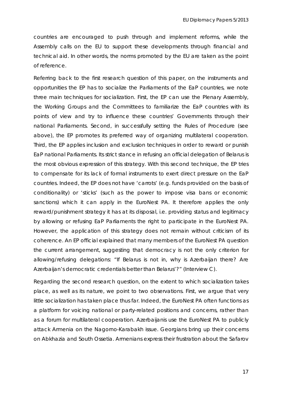countries are encouraged to push through and implement reforms, while the Assembly calls on the EU to support these developments through financial and technical aid. In other words, the norms promoted by the EU are taken as the point of reference.

Referring back to the first research question of this paper, on the instruments and opportunities the EP has to socialize the Parliaments of the EaP countries, we note three main techniques for socialization. First, the EP can use the Plenary Assembly, the Working Groups and the Committees to familiarize the EaP countries with its points of view and try to influence these countries' Governments through their national Parliaments. Second, in successfully setting the Rules of Procedure (see above), the EP promotes its preferred way of organizing multilateral cooperation. Third, the EP applies inclusion and exclusion techniques in order to reward or punish EaP national Parliaments. Its strict stance in refusing an official delegation of Belarus is the most obvious expression of this strategy. With this second technique, the EP tries to compensate for its lack of formal instruments to exert direct pressure on the EaP countries. Indeed, the EP does not have 'carrots' (e.g. funds provided on the basis of conditionality) or 'sticks' (such as the power to impose visa bans or economic sanctions) which it can apply in the EuroNest PA. It therefore applies the only reward/punishment strategy it has at its disposal, i.e. providing status and legitimacy by allowing or refusing EaP Parliaments the right to participate in the EuroNest PA. However, the application of this strategy does not remain without criticism of its coherence. An EP official explained that many members of the EuroNest PA question the current arrangement, suggesting that democracy is not the only criterion for allowing/refusing delegations: "If Belarus is not in, why is Azerbaijan there? Are Azerbaijan's democratic credentials better than Belarus'?" (Interview C).

Regarding the second research question, on the extent to which socialization takes place, as well as its nature, we point to two observations. First, we argue that very little socialization has taken place thus far. Indeed, the EuroNest PA often functions as a platform for voicing national or party-related positions and concerns, rather than as a forum for multilateral cooperation. Azerbaijanis use the EuroNest PA to publicly attack Armenia on the Nagorno-Karabakh issue. Georgians bring up their concerns on Abkhazia and South Ossetia. Armenians express their frustration about the Safarov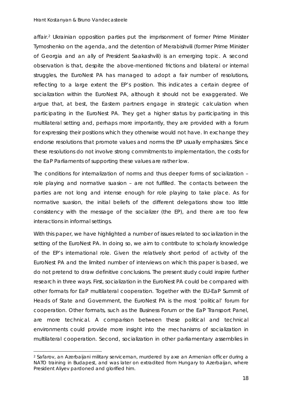#### *Hrant Kostanyan & Bruno Vandecasteele*

affair.[2](#page-18-0) Ukrainian opposition parties put the imprisonment of former Prime Minister Tymoshenko on the agenda, and the detention of Merabishvili (former Prime Minister of Georgia and an ally of President Saakashvili) is an emerging topic. A second observation is that, despite the above-mentioned frictions and bilateral or internal struggles, the EuroNest PA has managed to adopt a fair number of resolutions, reflecting to a large extent the EP's position. This indicates a certain degree of socialization within the EuroNest PA, although it should not be exaggerated. We argue that, at best, the Eastern partners engage in strategic calculation when participating in the EuroNest PA. They get a higher status by participating in this multilateral setting and, perhaps more importantly, they are provided with a forum for expressing their positions which they otherwise would not have. In exchange they endorse resolutions that promote values and norms the EP usually emphasizes. Since these resolutions do not involve strong commitments to implementation, the costs for the EaP Parliaments of supporting these values are rather low.

The conditions for internalization of norms and thus deeper forms of socialization – role playing and normative suasion – are not fulfilled. The contacts between the parties are not long and intense enough for role playing to take place. As for normative suasion, the initial beliefs of the different delegations show too little consistency with the message of the socializer (the EP), and there are too few interactions in informal settings.

With this paper, we have highlighted a number of issues related to socialization in the setting of the EuroNest PA. In doing so, we aim to contribute to scholarly knowledge of the EP's international role. Given the relatively short period of activity of the EuroNest PA and the limited number of interviews on which this paper is based, we do not pretend to draw definitive conclusions. The present study could inspire further research in three ways. First, socialization in the EuroNest PA could be compared with other formats for EaP multilateral cooperation. Together with the EU-EaP Summit of Heads of State and Government, the EuroNest PA is the most 'political' forum for cooperation. Other formats, such as the Business Forum or the EaP Transport Panel, are more technical. A comparison between these political and technical environments could provide more insight into the mechanisms of socialization in multilateral cooperation. Second, socialization in other parliamentary assemblies in

<span id="page-18-0"></span> <sup>2</sup> Safarov, an Azerbaijani military serviceman, murdered by axe an Armenian officer during a NATO training in Budapest, and was later on extradited from Hungary to Azerbaijan, where President Aliyev pardoned and glorified him.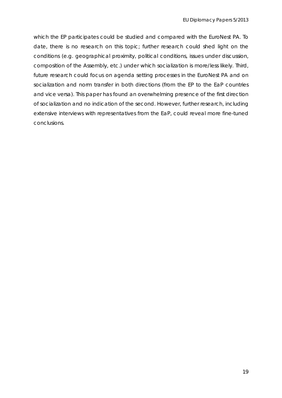which the EP participates could be studied and compared with the EuroNest PA. To date, there is no research on this topic; further research could shed light on the conditions (e.g. geographical proximity, political conditions, issues under discussion, composition of the Assembly, etc.) under which socialization is more/less likely. Third, future research could focus on agenda setting processes in the EuroNest PA and on socialization and norm transfer in both directions (from the EP to the EaP countries and vice versa). This paper has found an overwhelming presence of the first direction of socialization and no indication of the second. However, further research, including extensive interviews with representatives from the EaP, could reveal more fine-tuned conclusions.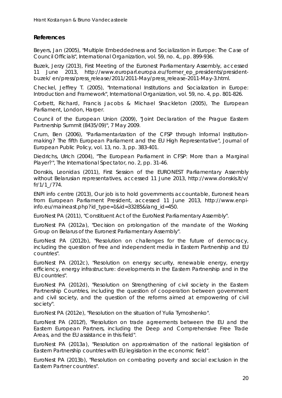## **References**

<span id="page-20-3"></span>Beyers, Jan (2005), "Multiple Embeddedness and Socialization in Europe: The Case of Council Officials", *International Organization*, vol. 59, no. 4,, pp. 899-936.

<span id="page-20-7"></span>Buzek, Jerzy (2013), *First Meeting of the Euronest Parliamentary Assembly*, accessed 11 June 2013, http://www.europarl.europa.eu/former\_ep\_presidents/presidentbuzek/ en/press/press\_release/2011/2011-May/press\_release-2011-May-3.html.

<span id="page-20-4"></span>Checkel, Jeffrey T. (2005), "International Institutions and Socialization in Europe: Introduction and Framework", *International Organization*, vol. 59, no. 4, pp. 801-826.

<span id="page-20-2"></span>Corbett, Richard, Francis Jacobs & Michael Shackleton (2005), *The European Parliament*, London, Harper.

<span id="page-20-5"></span>Council of the European Union (2009), "Joint Declaration of the Prague Eastern Partnership Summit (8435/09)", 7 May 2009.

<span id="page-20-1"></span>Crum, Ben (2006), "Parliamentarization of the CFSP through Informal Institutionmaking? The fifth European Parliament and the EU High Representative", *Journal of European Public Policy*, vol. 13, no. 3, pp. 383-401.

<span id="page-20-6"></span><span id="page-20-0"></span>Diedrichs, Ulrich (2004), "The European Parliament in CFSP: More than a Marginal Player?", *The International Spectator*, no. 2, pp. 31-46.

<span id="page-20-10"></span>Donskis, Leonidas (2011), *First Session of the EURONEST Parliamentary Assembly without Belarusian representatives*, accessed 11 June 2013, http://www.donskis.lt/v/ fr/1/1\_/774.

<span id="page-20-16"></span>ENPI info centre (2013), *Our job is to hold governments accountable, Euronest hears from European Parliament President*, accessed 11 June 2013, http://www.enpiinfo.eu/maineast.php?id\_type=1&id=33285&lang\_id=450.

<span id="page-20-8"></span>EuroNest PA (2011), "Constituent Act of the EuroNest Parliamentary Assembly".

<span id="page-20-9"></span>EuroNest PA (2012a), "Decision on prolongation of the mandate of the Working Group on Belarus of the Euronest Parliamentary Assembly".

<span id="page-20-11"></span>EuroNest PA (2012b), "Resolution on challenges for the future of democracy, including the question of free and independent media in Eastern Partnership and EU countries".

<span id="page-20-13"></span>EuroNest PA (2012c), "Resolution on energy security, renewable energy, energy efficiency, energy infrastructure: developments in the Eastern Partnership and in the EU countries".

<span id="page-20-14"></span>EuroNest PA (2012d), "Resolution on Strengthening of civil society in the Eastern Partnership Countries, including the question of cooperation between government and civil society, and the question of the reforms aimed at empowering of civil society".

<span id="page-20-15"></span>EuroNest PA (2012e), "Resolution on the situation of Yulia Tymoshenko".

<span id="page-20-12"></span>EuroNest PA (2012f), "Resolution on trade agreements between the EU and the Eastern European Partners, including the Deep and Comprehensive Free Trade Areas, and the EU assistance in this field".

<span id="page-20-17"></span>EuroNest PA (2013a), "Resolution on approximation of the national legislation of Eastern Partnership countries with EU legislation in the economic field".

<span id="page-20-18"></span>EuroNest PA (2013b), "Resolution on combating poverty and social exclusion in the Eastern Partner countries".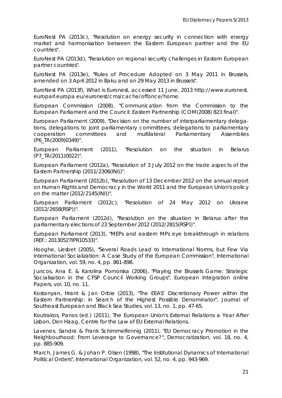<span id="page-21-17"></span>EuroNest PA (2013c), "Resolution on energy security in connection with energy market and harmonisation between the Eastern European partner and the EU countries".

<span id="page-21-16"></span>EuroNest PA (2013d), "Resolution on regional security challenges in Eastern European partner countries".

<span id="page-21-10"></span>EuroNest PA (2013e), "Rules of Procedure Adopted on 3 May 2011 in Brussels, amended on 3 April 2012 in Baku and on 29 May 2013 in Brussels".

<span id="page-21-13"></span>EuroNest PA (2013f), *What is Euronest*, accessed 11 June, 2013 http://www.euronest. europarl.europa.eu/euronest/cms/cache/offonce/home.

<span id="page-21-9"></span>European Commission (2008), "Communication from the Commission to the European Parliament and the Council: Eastern Partnership (COM(2008) 823 final)".

<span id="page-21-11"></span>European Parliament (2009), "Decision on the number of interparliamentary delegations, delegations to joint parliamentary committees, delegations to parliamentary cooperation committees and multilateral Parliamentary Assemblies (P6\_TA(2009)0349)".

<span id="page-21-12"></span>European Parliament (2011), "Resolution on the situation in Belarus (P7\_TA(2011)0022)".

<span id="page-21-5"></span>European Parliament (2012a), "Resolution of 3 July 2012 on the trade aspects of the Eastern Partnership (2011/2306(INI))".

<span id="page-21-6"></span>European Parliament (2012b), "Resolution of 13 December 2012 on the annual report on Human Rights and Democracy in the World 2011 and the European Union's policy on the matter (2012/2145(INI))".

<span id="page-21-8"></span>European Parliament (2012c), "Resolution of 24 May 2012 on Ukraine (2012/2658(RSP))".

<span id="page-21-7"></span>European Parliament (2012d), "Resolution on the situation in Belarus after the parliamentary elections of 23 September 2012 (2012/2815(RSP))".

<span id="page-21-15"></span>European Parliament (2013), "MEPs and eastern MPs eye breakthrough in relations (REF.: 20130527IPR10533)".

<span id="page-21-2"></span>Hooghe, Liesbet (2005), "Several Roads Lead to International Norms, but Few Via International Socialization: A Case Study of the European Commission", *International Organization*, vol. 59, no. 4, pp. 861-898.

<span id="page-21-3"></span>Juncos, Ana E. & Karolina Pomorska (2006), "Playing the Brussels Game: Strategic Socialisation in the CFSP Council Working Groups", *European Integration online Papers*, vol. 10, no. 11.

<span id="page-21-14"></span>Kostanyan, Hrant & Jan Orbie (2013), "The EEAS' Discretionary Power within the Eastern Partnership: in Search of the Highest Possible Denominator", *Journal of Southeast European and Black Sea Studies*, vol. 13, no. 1, pp. 47-65.

<span id="page-21-0"></span>Koutrakos, Panos (ed.) (2011), *The European Union's External Relations a Year After Lisbon*, Den Haag, Centre for the Law of EU External Relations.

<span id="page-21-1"></span>Lavenex, Sandra & Frank Schimmelfennig (2011), "EU Democracy Promotion in the Neighbourhood: From Leverage to Governance?", *Democratization*, vol. 18, no. 4, pp. 885-909.

<span id="page-21-4"></span>March, James G. & Johan P. Olsen (1998), "The Institutional Dynamics of International Political Orders", *International Organization*, vol. 52, no. 4, pp. 943-969.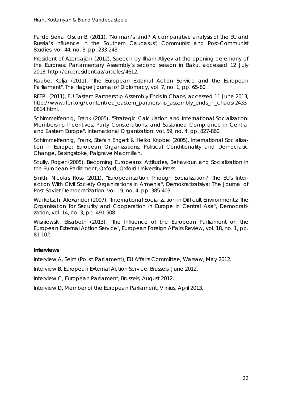<span id="page-22-5"></span>Pardo Sierra, Oscar B. (2011), "No man's land? A comparative analysis of the EU and Russia's influence in the Southern Caucasus", *Communist and Post-Communist Studies*, vol. 44, no. 3, pp. 233-243.

<span id="page-22-10"></span>President of Azerbaijan (2012), *Speech by Ilham Aliyev at the opening ceremony of the Euronest Parliamentary Assembly's second session in Baku*, accessed 12 July 2013, http://en.president.az/articles/4612.

<span id="page-22-6"></span>Raube, Kolja (2011), "The European External Action Service and the European Parliament", *The Hague Journal of Diplomacy*, vol. 7, no. 1, pp. 65-80.

<span id="page-22-9"></span>RFERL (2011), *EU Eastern Partnership Assembly Ends In Chaos*, accessed 11 June 2013, http://www.rferl.org/content/eu\_eastern\_partnership\_assembly\_ends\_in\_chaos/2433 0814.html.

<span id="page-22-0"></span>Schimmelfennig, Frank (2005), "Strategic Calculation and International Socialization: Membership Incentives, Party Constellations, and Sustained Compliance in Central and Eastern Europe", *International Organization*, vol. 59, no. 4, pp. 827-860.

<span id="page-22-1"></span>Schimmelfennig, Frank, Stefan Engert & Heiko Knobel (2005), *International Socialization in Europe: European Organizations, Political Conditionality and Democratic Change*, Basingstoke, Palgrave Macmillan.

<span id="page-22-2"></span>Scully, Roger (2005), *Becoming Europeans: Attitudes, Behaviour, and Socialization in the European Parliament*, Oxford, Oxford University Press.

<span id="page-22-8"></span><span id="page-22-3"></span>Smith, Nicolas Ross (2011), "Europeanization Through Socialization? The EU's Interaction With Civil Society Organizations in Armenia", *Demokratizatsiya: The Journal of Post-Soviet Democratization*, vol. 19, no. 4, pp. 385-403.

<span id="page-22-4"></span>Warkotsch, Alexander (2007), "International Socialization in Difficult Environments: The Organisation for Security and Cooperation in Europe in Central Asia", *Democratization*, vol. 14, no. 3, pp. 491-508.

<span id="page-22-7"></span>Wisniewski, Elisabeth (2013), "The Influence of the European Parliament on the European External Action Service", *European Foreign Affairs Review*, vol. 18, no. 1, pp. 81-102.

#### **Interviews**

Interview A, Sejm (Polish Parliament), EU Affairs Committee, Warsaw, May 2012.

Interview B, European External Action Service, Brussels, June 2012.

Interview C, European Parliament, Brussels, August 2012.

Interview D, Member of the European Parliament, Vilnius, April 2013.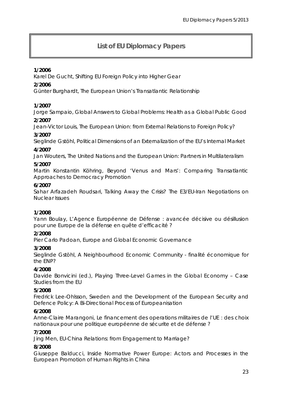# **List of EU Diplomacy Papers**

## **1/2006**

Karel De Gucht, *Shifting EU Foreign Policy into Higher Gear*

## **2/2006**

Günter Burghardt, *The European Union*'*s Transatlantic Relationship*

## **1/2007**

Jorge Sampaio, *Global Answers to Global Problems: Health as a Global Public Good*

#### **2/2007**

Jean-Victor Louis, *The European Union: from External Relations to Foreign Policy?*

#### **3/2007**

Sieglinde Gstöhl, *Political Dimensions of an Externalization of the EU*'*s Internal Market*

#### **4/2007**

Jan Wouters, *The United Nations and the European Union: Partners in Multilateralism*

#### **5/2007**

Martin Konstantin Köhring, *Beyond 'Venus and Mars': Comparing Transatlantic Approaches to Democracy Promotion*

#### **6/2007**

Sahar Arfazadeh Roudsari, *Talking Away the Crisis? The E3/EU-Iran Negotiations on Nuclear Issues*

#### **1/2008**

Yann Boulay, *L'Agence Européenne de Défense : avancée décisive ou désillusion pour une Europe de la défense en quête d'efficacité ?*

#### **2/2008**

Pier Carlo Padoan, *Europe and Global Economic Governance*

#### **3/2008**

Sieglinde Gstöhl, *A Neighbourhood Economic Community - finalité économique for the ENP?*

#### **4/2008**

Davide Bonvicini (ed.), *Playing Three-Level Games in the Global Economy – Case Studies from the EU*

#### **5/2008**

Fredrick Lee-Ohlsson, *Sweden and the Development of the European Security and Defence Policy: A Bi-Directional Process of Europeanisation*

## **6/2008**

Anne-Claire Marangoni, *Le financement des operations militaires de l'UE : des choix*  nationaux *pour une politique* européenne *de sécurite et de défense ?*

#### **7/2008**

Jing Men, *EU-China Relations: from Engagement to Marriage?*

#### **8/2008**

Giuseppe Balducci, *Inside Normative Power Europe: Actors and Processes in the European Promotion of Human Rights in China*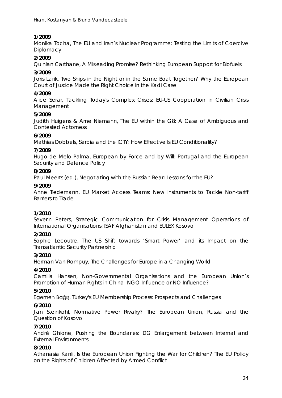## **1/2009**

Monika Tocha, *The EU and Iran's Nuclear Programme: Testing the Limits of Coercive Diplomacy*

## **2/2009**

Quinlan Carthane, *A Misleading Promise? Rethinking European Support for Biofuels*

#### **3/2009**

Joris Larik, *Two Ships in the Night or in the Same Boat Together? Why the European Court of Justice Made the Right Choice in the Kadi Case*

## **4/2009**

Alice Serar, *Tackling Today's Complex Crises: EU-US Cooperation in Civilian Crisis Management*

#### **5/2009**

Judith Huigens & Arne Niemann, *The EU within the G8: A Case of Ambiguous and Contested Actorness*

#### **6/2009**

Mathias Dobbels, *Serbia and the ICTY: How Effective Is EU Conditionality?*

#### **7/2009**

Hugo de Melo Palma, *European by Force and by Will: Portugal and the European Security and Defence Policy*

#### **8/2009**

Paul Meerts (ed.), *Negotiating with the Russian Bear: Lessons for the EU?*

#### **9/2009**

Anne Tiedemann, *EU Market Access Teams: New Instruments to Tackle Non-tariff Barriers to Trade*

#### **1/2010**

Severin Peters, *Strategic Communication for Crisis Management Operations of International Organisations: ISAF Afghanistan and EULEX Kosovo*

#### **2/2010**

Sophie Lecoutre, *The US Shift towards 'Smart Power' and its Impact on the Transatlantic Security Partnership*

#### **3/2010**

Herman Van Rompuy, *The Challenges for Europe in a Changing World*

#### **4/2010**

Camilla Hansen, *Non-Governmental Organisations and the European Union's Promotion of Human Rights in China: NGO Influence or NO Influence?* 

#### **5/2010**

Egemen Bağış, *Turkey's EU Membership Process: Prospects and Challenges*

#### **6/2010**

Jan Steinkohl, *Normative Power Rivalry? The European Union, Russia and the Question of Kosovo*

#### **7/2010**

André Ghione, *Pushing the Boundaries: DG Enlargement between Internal and External Environments*

#### **8/2010**

Athanasia Kanli, *Is the European Union Fighting the War for Children? The EU Policy on the Rights of Children Affected by Armed Conflict*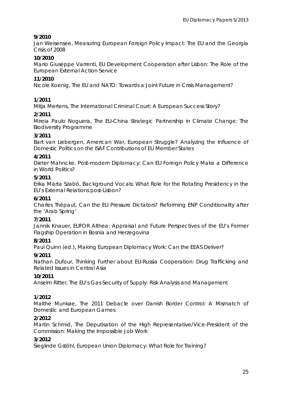## **9/2010**

Jan Weisensee, *Measuring European Foreign Policy Impact: The EU and the Georgia Crisis of 2008*

## **10/2010**

Mario Giuseppe Varrenti, *EU Development Cooperation after Lisbon: The Role of the European External Action Service*

#### **11/2010**

Nicole Koenig, *The EU and NATO: Towards a Joint Future in Crisis Management?*

## **1/2011**

Mitja Mertens, *The International Criminal Court: A European Success Story?*

#### **2/2011**

Mireia Paulo Noguera, *The EU-China Strategic Partnership in Climate Change: The Biodiversity Programme*

#### **3/2011**

Bart van Liebergen, *American War, European Struggle? Analyzing the Influence of Domestic Politics on the ISAF Contributions of EU Member States*

#### **4/2011**

Dieter Mahncke, *Post-modern Diplomacy: Can EU Foreign Policy Make a Difference in World Politics?*

#### **5/2011**

Erika Márta Szabó, *Background Vocals: What Role for the Rotating Presidency in the EU's External Relations post-Lisbon?*

#### **6/2011**

Charles Thépaut, *[Can the EU Pressure Dictators? Reforming ENP Conditionality after](http://www.coleurope.eu/file/content/studyprogrammes/ird/research/pdf/EDP2011/EDP_6_2011_Thepaut.pdf)  [the 'Arab Spring'](http://www.coleurope.eu/file/content/studyprogrammes/ird/research/pdf/EDP2011/EDP_6_2011_Thepaut.pdf)*

#### **7/2011**

Jannik Knauer, *[EUFOR Althea: Appraisal and Future Perspectives of the EU's Former](http://www.coleurope.eu/file/content/studyprogrammes/ird/research/pdf/EDP2011/EDP_7_2011_Knauer.pdf)  [Flagship Operation in Bosnia and Herzegovina](http://www.coleurope.eu/file/content/studyprogrammes/ird/research/pdf/EDP2011/EDP_7_2011_Knauer.pdf)*

#### **8/2011**

Paul Quinn (ed.), *Making European Diplomacy Work: Can the EEAS Deliver?*

## **9/2011**

Nathan Dufour, *Thinking Further about EU-Russia Cooperation: Drug Trafficking and Related Issues in Central Asia*

#### **10/2011**

Anselm Ritter, *The EU's Gas Security of Supply: Risk Analysis and Management*

#### **1/2012**

Malthe Munkøe, *The 2011 Debacle over Danish Border Control: A Mismatch of Domestic and European Games*

#### **2/2012**

Martin Schmid, *The Deputisation of the High Representative/Vice-President of the Commission: Making the Impossible Job Work*

#### **3/2012**

Sieglinde Gstöhl, *European Union Diplomacy: What Role for Training?*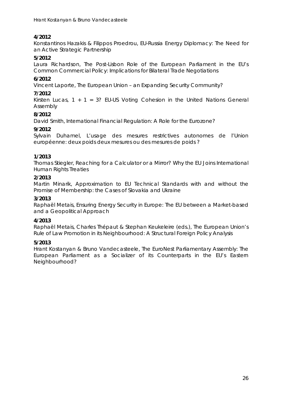## **4/2012**

Konstantinos Hazakis & Filippos Proedrou, *EU-Russia Energy Diplomacy: The Need for an Active Strategic Partnership*

#### **5/2012**

Laura Richardson, *The Post-Lisbon Role of the European Parliament in the EU's Common Commercial Policy: Implications for Bilateral Trade Negotiations* 

## **6/2012**

Vincent Laporte, *The European Union – an Expanding Security Community?*

## **7/2012**

Kirsten Lucas, *1 + 1 = 3? EU-US Voting Cohesion in the United Nations General Assembly*

#### **8/2012**

David Smith, *International Financial Regulation: A Role for the Eurozone?*

## **9/2012**

Sylvain Duhamel, *L'usage des mesures restrictives autonomes de l'Union européenne: deux poids deux mesures ou des mesures de poids ?*

## **1/2013**

Thomas Stiegler, *Reaching for a Calculator or a Mirror? Why the EU Joins International Human Rights Treaties*

#### **2/2013**

Martin Minarik, *Approximation to EU Technical Standards with and without the Promise of Membership: the Cases of Slovakia and Ukraine* 

#### **3/2013**

Raphaël Metais, *Ensuring Energy Security in Europe: The EU between a Market-based and a Geopolitical Approach*

#### **4/2013**

Raphaël Metais, Charles Thépaut & Stephan Keukeleire (eds.), *The European Union's Rule of Law Promotion in its Neighbourhood: A Structural Foreign Policy Analysis*

#### **5/2013**

Hrant Kostanyan & Bruno Vandecasteele*, The EuroNest Parliamentary Assembly: The European Parliament as a Socializer of its Counterparts in the EU's Eastern Neighbourhood?*